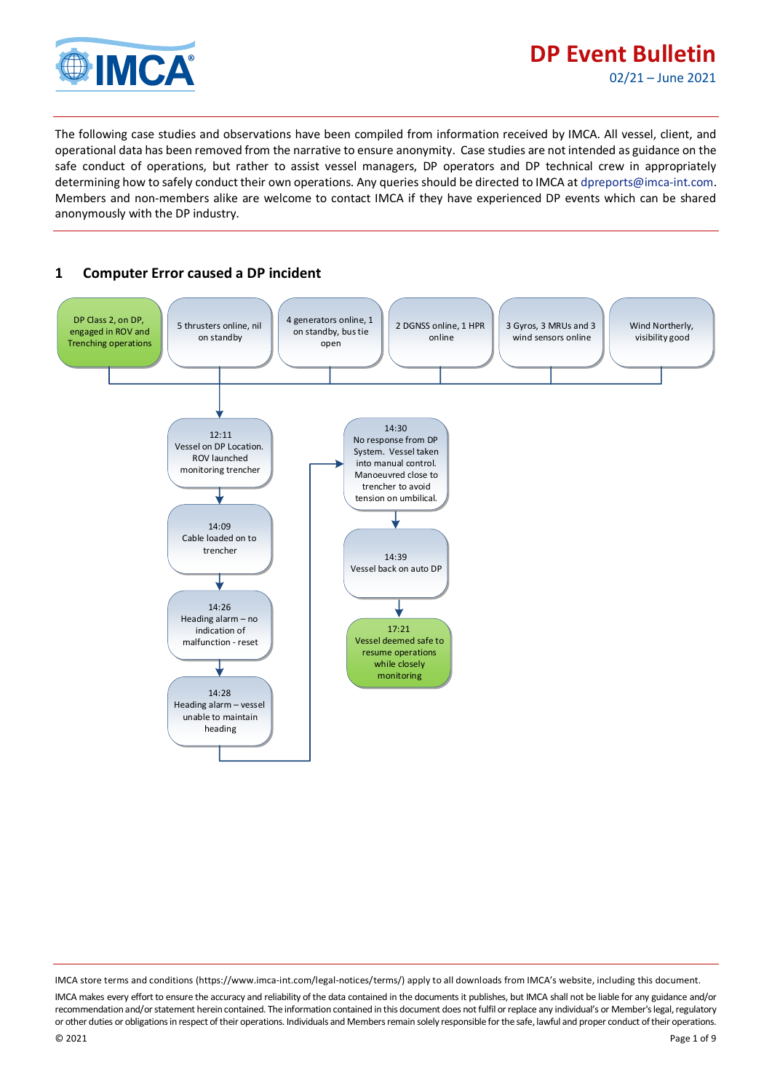

The following case studies and observations have been compiled from information received by IMCA. All vessel, client, and operational data has been removed from the narrative to ensure anonymity. Case studies are not intended as guidance on the safe conduct of operations, but rather to assist vessel managers, DP operators and DP technical crew in appropriately determining how to safely conduct their own operations. Any queries should be directed to IMCA at [dpreports@imca-int.com.](mailto:dpreports@imca-int.com)  Members and non-members alike are welcome to contact IMCA if they have experienced DP events which can be shared anonymously with the DP industry.

## **1 Computer Error caused a DP incident**



IMCA store terms and conditions (https://www.imca-int.com/legal-notices/terms/) apply to all downloads from IMCA's website, including this document. IMCA makes every effort to ensure the accuracy and reliability of the data contained in the documents it publishes, but IMCA shall not be liable for any guidance and/or recommendation and/or statement herein contained. The information contained in this document does not fulfil or replace any individual's or Member's legal, regulatory or other duties or obligations in respect of their operations. Individuals and Members remain solely responsible for the safe, lawful and proper conduct of their operations.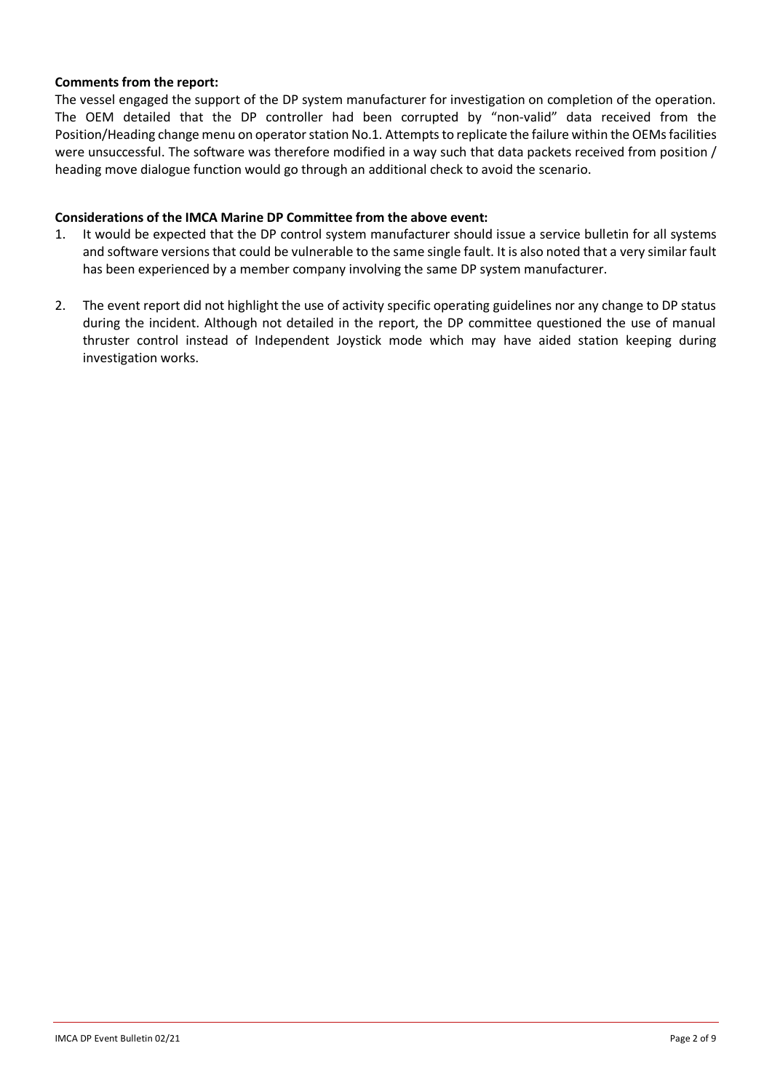### **Comments from the report:**

The vessel engaged the support of the DP system manufacturer for investigation on completion of the operation. The OEM detailed that the DP controller had been corrupted by "non-valid" data received from the Position/Heading change menu on operator station No.1. Attempts to replicate the failure within the OEMs facilities were unsuccessful. The software was therefore modified in a way such that data packets received from position / heading move dialogue function would go through an additional check to avoid the scenario.

### **Considerations of the IMCA Marine DP Committee from the above event:**

- 1. It would be expected that the DP control system manufacturer should issue a service bulletin for all systems and software versions that could be vulnerable to the same single fault. It is also noted that a very similar fault has been experienced by a member company involving the same DP system manufacturer.
- 2. The event report did not highlight the use of activity specific operating guidelines nor any change to DP status during the incident. Although not detailed in the report, the DP committee questioned the use of manual thruster control instead of Independent Joystick mode which may have aided station keeping during investigation works.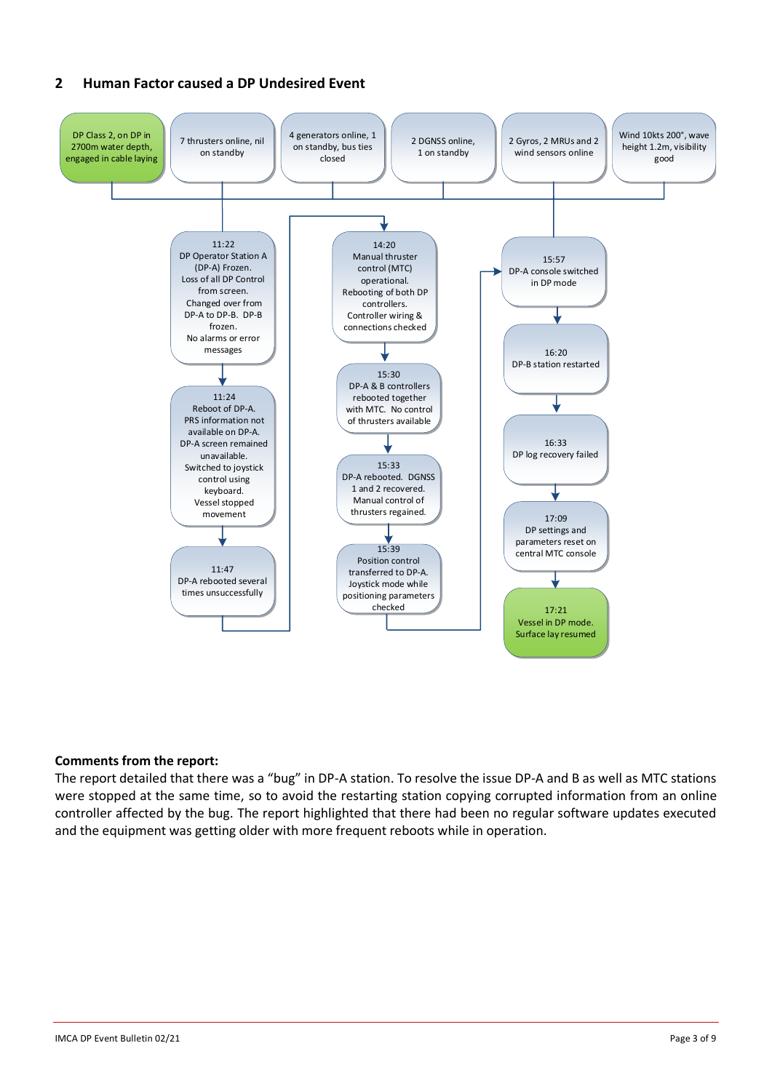## **2 Human Factor caused a DP Undesired Event**



### **Comments from the report:**

The report detailed that there was a "bug" in DP-A station. To resolve the issue DP-A and B as well as MTC stations were stopped at the same time, so to avoid the restarting station copying corrupted information from an online controller affected by the bug. The report highlighted that there had been no regular software updates executed and the equipment was getting older with more frequent reboots while in operation.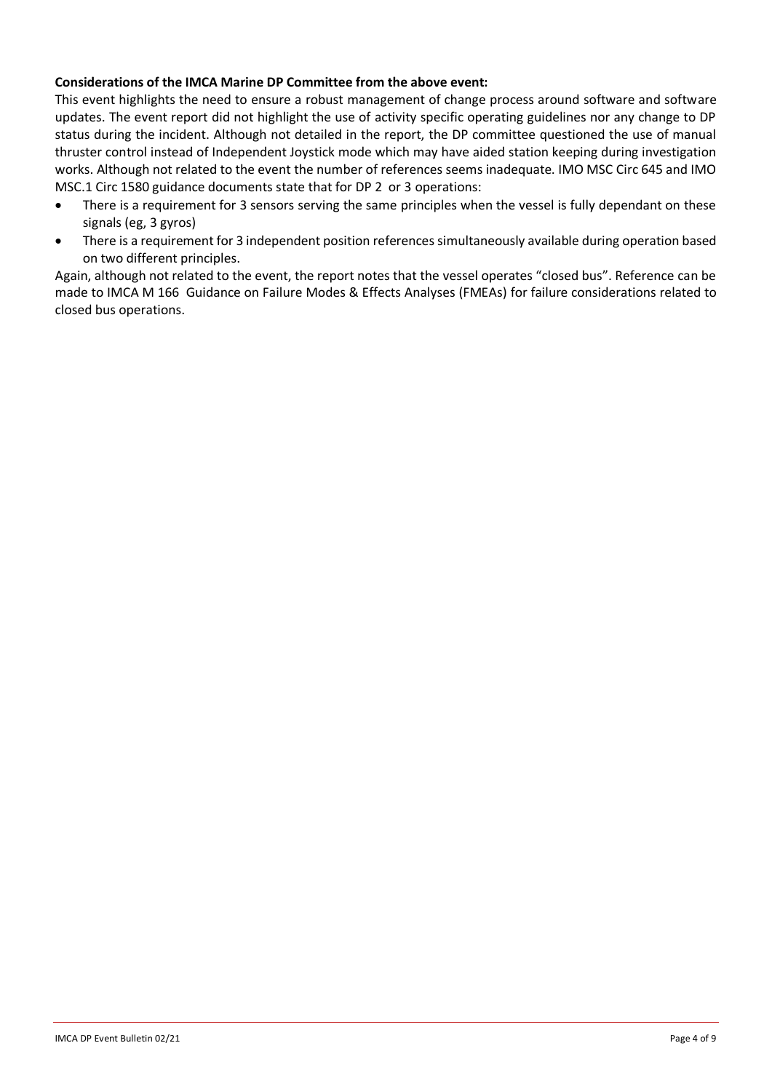## **Considerations of the IMCA Marine DP Committee from the above event:**

This event highlights the need to ensure a robust management of change process around software and software updates. The event report did not highlight the use of activity specific operating guidelines nor any change to DP status during the incident. Although not detailed in the report, the DP committee questioned the use of manual thruster control instead of Independent Joystick mode which may have aided station keeping during investigation works. Although not related to the event the number of references seems inadequate. IMO MSC Circ 645 and IMO MSC.1 Circ 1580 guidance documents state that for DP 2 or 3 operations:

- There is a requirement for 3 sensors serving the same principles when the vessel is fully dependant on these signals (eg, 3 gyros)
- There is a requirement for 3 independent position references simultaneously available during operation based on two different principles.

Again, although not related to the event, the report notes that the vessel operates "closed bus". Reference can be made to IMCA M 166 Guidance on Failure Modes & Effects Analyses (FMEAs) for failure considerations related to closed bus operations.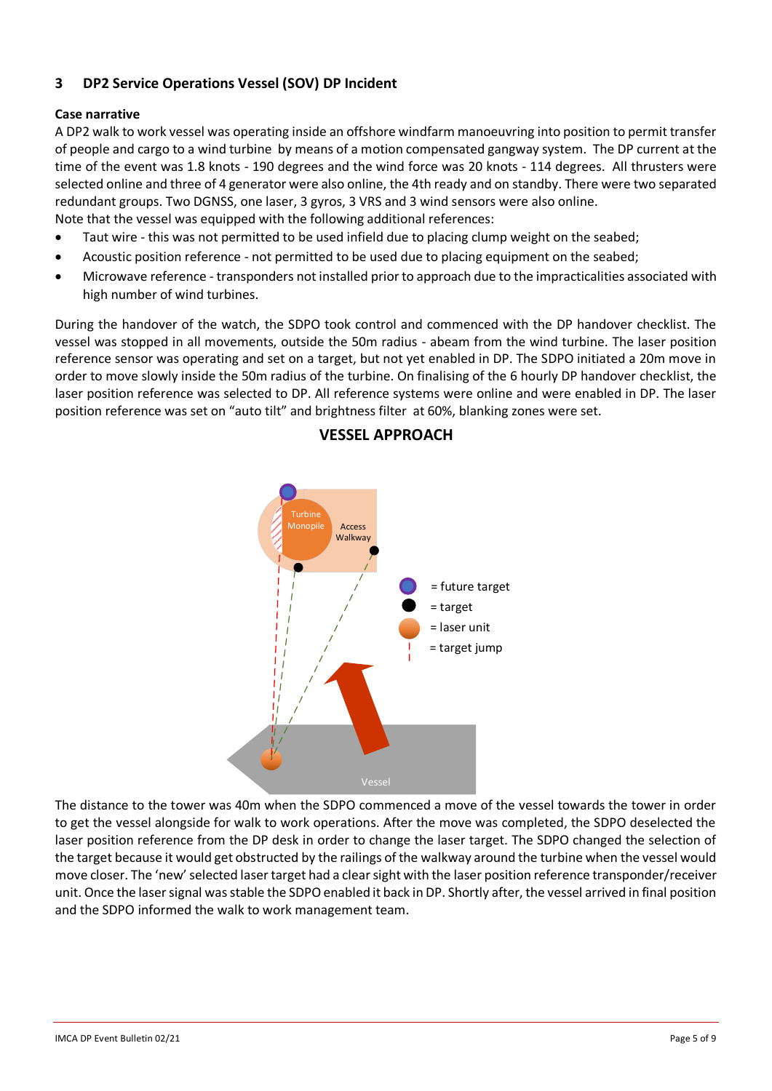# **3 DP2 Service Operations Vessel (SOV) DP Incident**

### **Case narrative**

A DP2 walk to work vessel was operating inside an offshore windfarm manoeuvring into position to permit transfer of people and cargo to a wind turbine by means of a motion compensated gangway system. The DP current at the time of the event was 1.8 knots - 190 degrees and the wind force was 20 knots - 114 degrees. All thrusters were selected online and three of 4 generator were also online, the 4th ready and on standby. There were two separated redundant groups. Two DGNSS, one laser, 3 gyros, 3 VRS and 3 wind sensors were also online. Note that the vessel was equipped with the following additional references:

- Taut wire this was not permitted to be used infield due to placing clump weight on the seabed;
- Acoustic position reference not permitted to be used due to placing equipment on the seabed;
- Microwave reference transponders not installed prior to approach due to the impracticalities associated with high number of wind turbines.

During the handover of the watch, the SDPO took control and commenced with the DP handover checklist. The vessel was stopped in all movements, outside the 50m radius - abeam from the wind turbine. The laser position reference sensor was operating and set on a target, but not yet enabled in DP. The SDPO initiated a 20m move in order to move slowly inside the 50m radius of the turbine. On finalising of the 6 hourly DP handover checklist, the laser position reference was selected to DP. All reference systems were online and were enabled in DP. The laser position reference was set on "auto tilt" and brightness filter at 60%, blanking zones were set.



## **VESSEL APPROACH**

The distance to the tower was 40m when the SDPO commenced a move of the vessel towards the tower in order to get the vessel alongside for walk to work operations. After the move was completed, the SDPO deselected the laser position reference from the DP desk in order to change the laser target. The SDPO changed the selection of the target because it would get obstructed by the railings of the walkway around the turbine when the vessel would move closer. The 'new' selected laser target had a clear sight with the laser position reference transponder/receiver unit. Once the laser signal was stable the SDPO enabled it back in DP. Shortly after, the vessel arrived in final position and the SDPO informed the walk to work management team.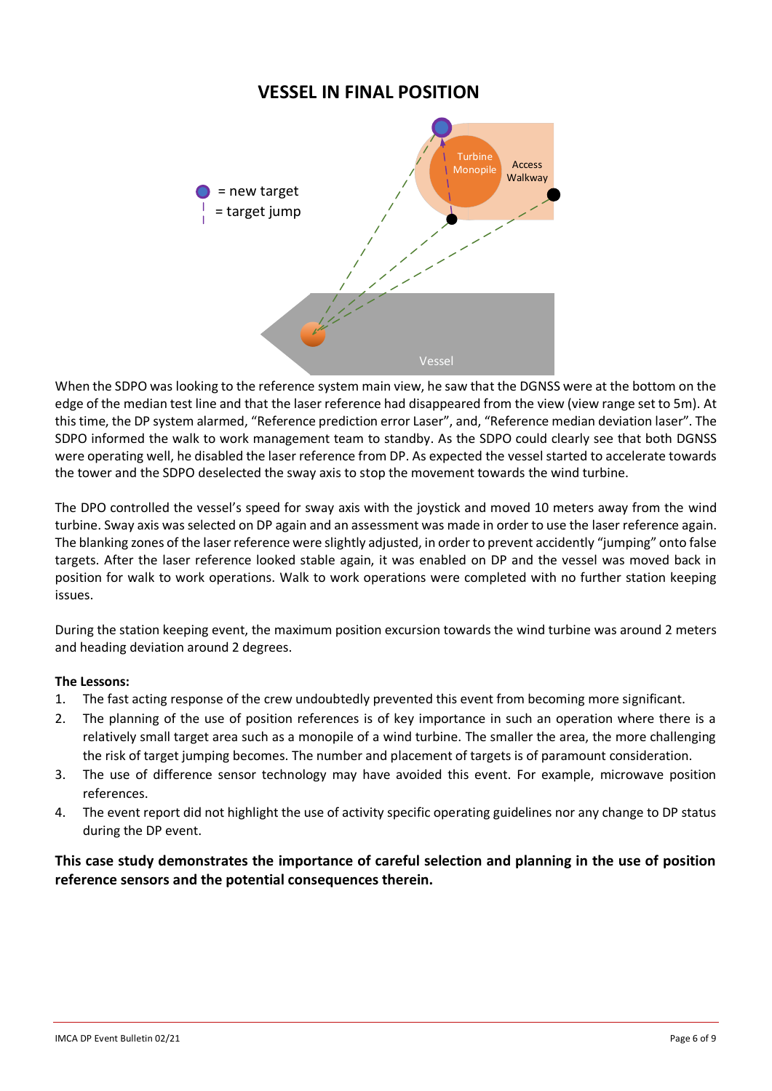# **VESSEL IN FINAL POSITION**



When the SDPO was looking to the reference system main view, he saw that the DGNSS were at the bottom on the edge of the median test line and that the laser reference had disappeared from the view (view range set to 5m). At this time, the DP system alarmed, "Reference prediction error Laser", and, "Reference median deviation laser". The SDPO informed the walk to work management team to standby. As the SDPO could clearly see that both DGNSS were operating well, he disabled the laser reference from DP. As expected the vessel started to accelerate towards the tower and the SDPO deselected the sway axis to stop the movement towards the wind turbine.

The DPO controlled the vessel's speed for sway axis with the joystick and moved 10 meters away from the wind turbine. Sway axis was selected on DP again and an assessment was made in order to use the laser reference again. The blanking zones of the laser reference were slightly adjusted, in order to prevent accidently "jumping" onto false targets. After the laser reference looked stable again, it was enabled on DP and the vessel was moved back in position for walk to work operations. Walk to work operations were completed with no further station keeping issues.

During the station keeping event, the maximum position excursion towards the wind turbine was around 2 meters and heading deviation around 2 degrees.

### **The Lessons:**

- 1. The fast acting response of the crew undoubtedly prevented this event from becoming more significant.
- 2. The planning of the use of position references is of key importance in such an operation where there is a relatively small target area such as a monopile of a wind turbine. The smaller the area, the more challenging the risk of target jumping becomes. The number and placement of targets is of paramount consideration.
- 3. The use of difference sensor technology may have avoided this event. For example, microwave position references.
- 4. The event report did not highlight the use of activity specific operating guidelines nor any change to DP status during the DP event.

**This case study demonstrates the importance of careful selection and planning in the use of position reference sensors and the potential consequences therein.**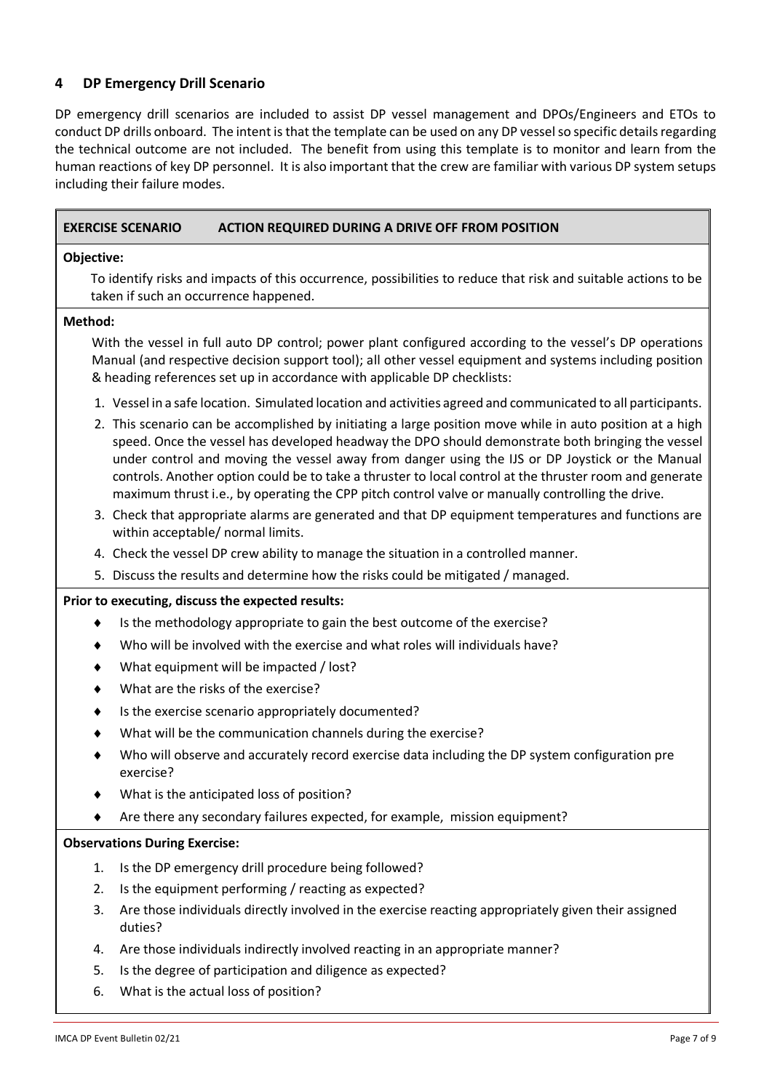## **4 DP Emergency Drill Scenario**

DP emergency drill scenarios are included to assist DP vessel management and DPOs/Engineers and ETOs to conduct DP drills onboard. The intent is that the template can be used on any DP vessel so specific details regarding the technical outcome are not included. The benefit from using this template is to monitor and learn from the human reactions of key DP personnel. It is also important that the crew are familiar with various DP system setups including their failure modes.

|            | <b>EXERCISE SCENARIO</b>             | <b>ACTION REQUIRED DURING A DRIVE OFF FROM POSITION</b>                                                                                                                                                                                                                                                                                                                                                                                                                                                                         |
|------------|--------------------------------------|---------------------------------------------------------------------------------------------------------------------------------------------------------------------------------------------------------------------------------------------------------------------------------------------------------------------------------------------------------------------------------------------------------------------------------------------------------------------------------------------------------------------------------|
| Objective: |                                      |                                                                                                                                                                                                                                                                                                                                                                                                                                                                                                                                 |
|            |                                      | To identify risks and impacts of this occurrence, possibilities to reduce that risk and suitable actions to be<br>taken if such an occurrence happened.                                                                                                                                                                                                                                                                                                                                                                         |
| Method:    |                                      |                                                                                                                                                                                                                                                                                                                                                                                                                                                                                                                                 |
|            |                                      | With the vessel in full auto DP control; power plant configured according to the vessel's DP operations<br>Manual (and respective decision support tool); all other vessel equipment and systems including position<br>& heading references set up in accordance with applicable DP checklists:                                                                                                                                                                                                                                 |
|            |                                      | 1. Vessel in a safe location. Simulated location and activities agreed and communicated to all participants.                                                                                                                                                                                                                                                                                                                                                                                                                    |
|            |                                      | 2. This scenario can be accomplished by initiating a large position move while in auto position at a high<br>speed. Once the vessel has developed headway the DPO should demonstrate both bringing the vessel<br>under control and moving the vessel away from danger using the IJS or DP Joystick or the Manual<br>controls. Another option could be to take a thruster to local control at the thruster room and generate<br>maximum thrust i.e., by operating the CPP pitch control valve or manually controlling the drive. |
|            |                                      | 3. Check that appropriate alarms are generated and that DP equipment temperatures and functions are<br>within acceptable/ normal limits.                                                                                                                                                                                                                                                                                                                                                                                        |
|            |                                      | 4. Check the vessel DP crew ability to manage the situation in a controlled manner.                                                                                                                                                                                                                                                                                                                                                                                                                                             |
|            |                                      | 5. Discuss the results and determine how the risks could be mitigated / managed.                                                                                                                                                                                                                                                                                                                                                                                                                                                |
|            |                                      | Prior to executing, discuss the expected results:                                                                                                                                                                                                                                                                                                                                                                                                                                                                               |
|            |                                      | Is the methodology appropriate to gain the best outcome of the exercise?                                                                                                                                                                                                                                                                                                                                                                                                                                                        |
|            |                                      | Who will be involved with the exercise and what roles will individuals have?                                                                                                                                                                                                                                                                                                                                                                                                                                                    |
|            |                                      | What equipment will be impacted / lost?                                                                                                                                                                                                                                                                                                                                                                                                                                                                                         |
|            |                                      | What are the risks of the exercise?                                                                                                                                                                                                                                                                                                                                                                                                                                                                                             |
|            |                                      | Is the exercise scenario appropriately documented?                                                                                                                                                                                                                                                                                                                                                                                                                                                                              |
|            |                                      | What will be the communication channels during the exercise?                                                                                                                                                                                                                                                                                                                                                                                                                                                                    |
|            | exercise?                            | Who will observe and accurately record exercise data including the DP system configuration pre                                                                                                                                                                                                                                                                                                                                                                                                                                  |
|            |                                      | What is the anticipated loss of position?                                                                                                                                                                                                                                                                                                                                                                                                                                                                                       |
|            |                                      | Are there any secondary failures expected, for example, mission equipment?                                                                                                                                                                                                                                                                                                                                                                                                                                                      |
|            | <b>Observations During Exercise:</b> |                                                                                                                                                                                                                                                                                                                                                                                                                                                                                                                                 |
| 1.         |                                      | Is the DP emergency drill procedure being followed?                                                                                                                                                                                                                                                                                                                                                                                                                                                                             |
| 2.         |                                      | Is the equipment performing / reacting as expected?                                                                                                                                                                                                                                                                                                                                                                                                                                                                             |
| 3.         | duties?                              | Are those individuals directly involved in the exercise reacting appropriately given their assigned                                                                                                                                                                                                                                                                                                                                                                                                                             |
| 4.         |                                      | Are those individuals indirectly involved reacting in an appropriate manner?                                                                                                                                                                                                                                                                                                                                                                                                                                                    |
| 5.         |                                      | Is the degree of participation and diligence as expected?                                                                                                                                                                                                                                                                                                                                                                                                                                                                       |

6. What is the actual loss of position?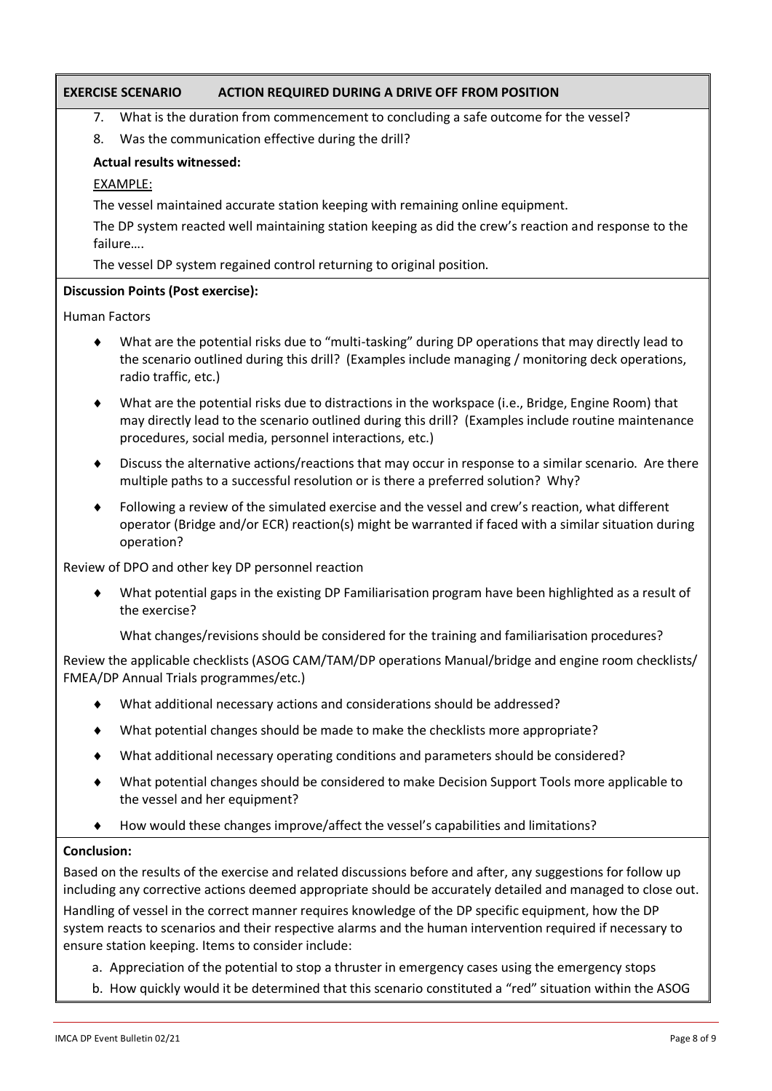## **EXERCISE SCENARIO ACTION REQUIRED DURING A DRIVE OFF FROM POSITION**

7. What is the duration from commencement to concluding a safe outcome for the vessel?

8. Was the communication effective during the drill?

### **Actual results witnessed:**

#### EXAMPLE:

The vessel maintained accurate station keeping with remaining online equipment.

The DP system reacted well maintaining station keeping as did the crew's reaction and response to the failure….

The vessel DP system regained control returning to original position.

### **Discussion Points (Post exercise):**

Human Factors

- What are the potential risks due to "multi-tasking" during DP operations that may directly lead to the scenario outlined during this drill? (Examples include managing / monitoring deck operations, radio traffic, etc.)
- What are the potential risks due to distractions in the workspace (i.e., Bridge, Engine Room) that may directly lead to the scenario outlined during this drill? (Examples include routine maintenance procedures, social media, personnel interactions, etc.)
- Discuss the alternative actions/reactions that may occur in response to a similar scenario. Are there multiple paths to a successful resolution or is there a preferred solution? Why?
- Following a review of the simulated exercise and the vessel and crew's reaction, what different operator (Bridge and/or ECR) reaction(s) might be warranted if faced with a similar situation during operation?

Review of DPO and other key DP personnel reaction

 What potential gaps in the existing DP Familiarisation program have been highlighted as a result of the exercise?

What changes/revisions should be considered for the training and familiarisation procedures?

Review the applicable checklists (ASOG CAM/TAM/DP operations Manual/bridge and engine room checklists/ FMEA/DP Annual Trials programmes/etc.)

- What additional necessary actions and considerations should be addressed?
- What potential changes should be made to make the checklists more appropriate?
- What additional necessary operating conditions and parameters should be considered?
- What potential changes should be considered to make Decision Support Tools more applicable to the vessel and her equipment?
- How would these changes improve/affect the vessel's capabilities and limitations?

#### **Conclusion:**

Based on the results of the exercise and related discussions before and after, any suggestions for follow up including any corrective actions deemed appropriate should be accurately detailed and managed to close out. Handling of vessel in the correct manner requires knowledge of the DP specific equipment, how the DP system reacts to scenarios and their respective alarms and the human intervention required if necessary to ensure station keeping. Items to consider include:

- a. Appreciation of the potential to stop a thruster in emergency cases using the emergency stops
- b. How quickly would it be determined that this scenario constituted a "red" situation within the ASOG